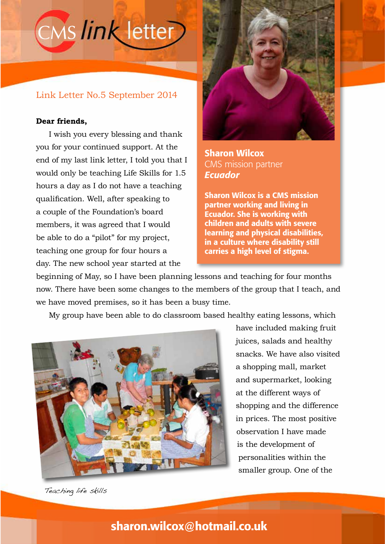

### Link Letter No.5 September 2014

#### **Dear friends,**

I wish you every blessing and thank you for your continued support. At the end of my last link letter, I told you that I would only be teaching Life Skills for 1.5 hours a day as I do not have a teaching qualification. Well, after speaking to a couple of the Foundation's board members, it was agreed that I would be able to do a "pilot" for my project, teaching one group for four hours a day. The new school year started at the



Sharon Wilcox CMS mission partner *Ecuador*

Sharon Wilcox is a CMS mission partner working and living in Ecuador. She is working with children and adults with severe learning and physical disabilities, in a culture where disability still carries a high level of stigma.

beginning of May, so I have been planning lessons and teaching for four months now. There have been some changes to the members of the group that I teach, and we have moved premises, so it has been a busy time.

My group have been able to do classroom based healthy eating lessons, which



have included making fruit juices, salads and healthy snacks. We have also visited a shopping mall, market and supermarket, looking at the different ways of shopping and the difference in prices. The most positive observation I have made is the development of personalities within the smaller group. One of the

Teaching life skills

## sharon.wilcox@hotmail.co.uk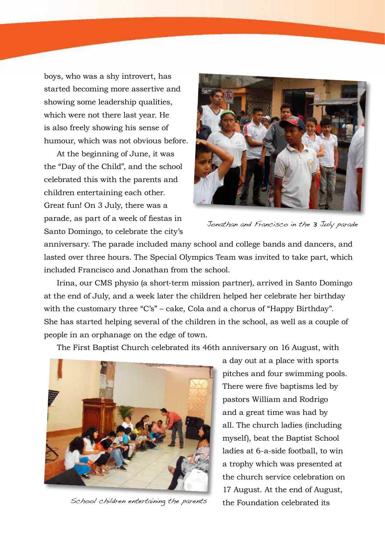boys, who was a shy introvert, has started becoming more assertive and showing some leadership qualities, which were not there last year. He is also freely showing his sense of humour, which was not obvious before.

At the beginning of June, it was the "Day of the Child", and the school celebrated this with the parents and children entertaining each other. Great fun! On 3 July, there was a parade, as part of a week of fiestas in Santo Domingo, to celebrate the city's



Jonathan and Francisco in the 3 July parade

anniversary. The parade included many school and college bands and dancers, and lasted over three hours. The Special Olympics Team was invited to take part, which included Francisco and Jonathan from the school.

Irina, our CMS physio (a short-term mission partner), arrived in Santo Domingo at the end of July, and a week later the children helped her celebrate her birthday with the customary three "C's" – cake, Cola and a chorus of "Happy Birthday". She has started helping several of the children in the school, as well as a couple of people in an orphanage on the edge of town.

The First Baptist Church celebrated its 46th anniversary on 16 August, with



School children entertaining the parents

a day out at a place with sports pitches and four swimming pools. There were five baptisms led by pastors William and Rodrigo and a great time was had by all. The church ladies (including myself), beat the Baptist School ladies at 6-a-side football, to win a trophy which was presented at the church service celebration on 17 August. At the end of August, the Foundation celebrated its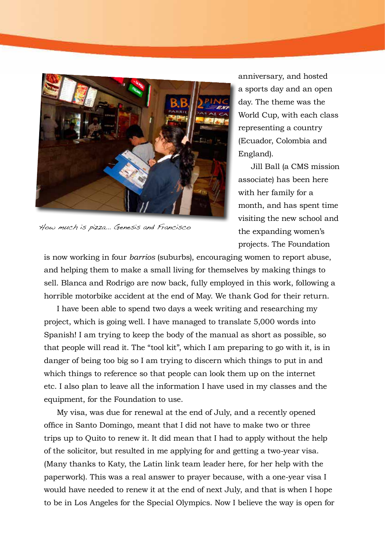

How much is pizza... Genesis and Francisco

anniversary, and hosted a sports day and an open day. The theme was the World Cup, with each class representing a country (Ecuador, Colombia and England).

Jill Ball (a CMS mission associate) has been here with her family for a month, and has spent time visiting the new school and the expanding women's projects. The Foundation

is now working in four *barrios* (suburbs), encouraging women to report abuse, and helping them to make a small living for themselves by making things to sell. Blanca and Rodrigo are now back, fully employed in this work, following a horrible motorbike accident at the end of May. We thank God for their return.

I have been able to spend two days a week writing and researching my project, which is going well. I have managed to translate 5,000 words into Spanish! I am trying to keep the body of the manual as short as possible, so that people will read it. The "tool kit", which I am preparing to go with it, is in danger of being too big so I am trying to discern which things to put in and which things to reference so that people can look them up on the internet etc. I also plan to leave all the information I have used in my classes and the equipment, for the Foundation to use.

My visa, was due for renewal at the end of July, and a recently opened office in Santo Domingo, meant that I did not have to make two or three trips up to Quito to renew it. It did mean that I had to apply without the help of the solicitor, but resulted in me applying for and getting a two-year visa. (Many thanks to Katy, the Latin link team leader here, for her help with the paperwork). This was a real answer to prayer because, with a one-year visa I would have needed to renew it at the end of next July, and that is when I hope to be in Los Angeles for the Special Olympics. Now I believe the way is open for